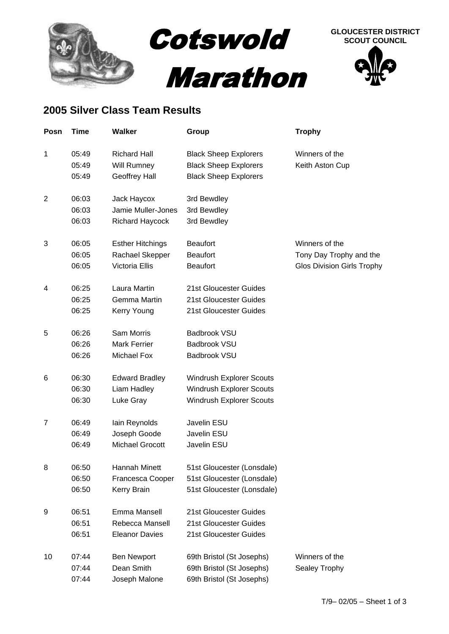



## **2005 Silver Class Team Results**

| Posn           | <b>Time</b> | <b>Walker</b>           | Group                           | <b>Trophy</b>                     |
|----------------|-------------|-------------------------|---------------------------------|-----------------------------------|
| 1              | 05:49       | <b>Richard Hall</b>     | <b>Black Sheep Explorers</b>    | Winners of the                    |
|                | 05:49       | Will Rumney             | <b>Black Sheep Explorers</b>    | Keith Aston Cup                   |
|                | 05:49       | Geoffrey Hall           | <b>Black Sheep Explorers</b>    |                                   |
| $\overline{2}$ | 06:03       | Jack Haycox             | 3rd Bewdley                     |                                   |
|                | 06:03       | Jamie Muller-Jones      | 3rd Bewdley                     |                                   |
|                | 06:03       | Richard Haycock         | 3rd Bewdley                     |                                   |
| 3              | 06:05       | <b>Esther Hitchings</b> | <b>Beaufort</b>                 | Winners of the                    |
|                | 06:05       | Rachael Skepper         | <b>Beaufort</b>                 | Tony Day Trophy and the           |
|                | 06:05       | Victoria Ellis          | <b>Beaufort</b>                 | <b>Glos Division Girls Trophy</b> |
| 4              | 06:25       | Laura Martin            | 21st Gloucester Guides          |                                   |
|                | 06:25       | Gemma Martin            | 21st Gloucester Guides          |                                   |
|                | 06:25       | Kerry Young             | 21st Gloucester Guides          |                                   |
| 5              | 06:26       | Sam Morris              | <b>Badbrook VSU</b>             |                                   |
|                | 06:26       | <b>Mark Ferrier</b>     | <b>Badbrook VSU</b>             |                                   |
|                | 06:26       | Michael Fox             | Badbrook VSU                    |                                   |
| 6              | 06:30       | <b>Edward Bradley</b>   | Windrush Explorer Scouts        |                                   |
|                | 06:30       | Liam Hadley             | <b>Windrush Explorer Scouts</b> |                                   |
|                | 06:30       | Luke Gray               | Windrush Explorer Scouts        |                                   |
| 7              | 06:49       | lain Reynolds           | Javelin ESU                     |                                   |
|                | 06:49       | Joseph Goode            | Javelin ESU                     |                                   |
|                | 06:49       | <b>Michael Grocott</b>  | Javelin ESU                     |                                   |
| 8              | 06:50       | Hannah Minett           | 51st Gloucester (Lonsdale)      |                                   |
|                | 06:50       | Francesca Cooper        | 51st Gloucester (Lonsdale)      |                                   |
|                | 06:50       | Kerry Brain             | 51st Gloucester (Lonsdale)      |                                   |
| 9              | 06:51       | Emma Mansell            | 21st Gloucester Guides          |                                   |
|                | 06:51       | Rebecca Mansell         | 21st Gloucester Guides          |                                   |
|                | 06:51       | <b>Eleanor Davies</b>   | 21st Gloucester Guides          |                                   |
| 10             | 07:44       | <b>Ben Newport</b>      | 69th Bristol (St Josephs)       | Winners of the                    |
|                | 07:44       | Dean Smith              | 69th Bristol (St Josephs)       | Sealey Trophy                     |
|                | 07:44       | Joseph Malone           | 69th Bristol (St Josephs)       |                                   |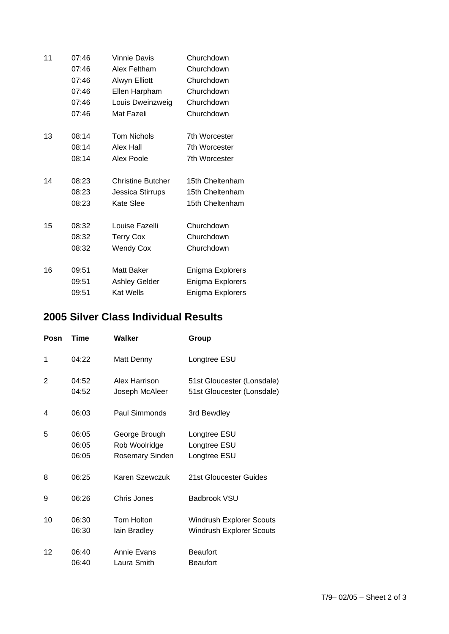| 11 | 07:46 | <b>Vinnie Davis</b>      | Churchdown           |
|----|-------|--------------------------|----------------------|
|    | 07:46 | Alex Feltham             | Churchdown           |
|    | 07:46 | Alwyn Elliott            | Churchdown           |
|    | 07:46 | Ellen Harpham            | Churchdown           |
|    | 07:46 | Louis Dweinzweig         | Churchdown           |
|    | 07:46 | Mat Fazeli               | Churchdown           |
| 13 | 08:14 | <b>Tom Nichols</b>       | <b>7th Worcester</b> |
|    | 08:14 | Alex Hall                | 7th Worcester        |
|    | 08:14 | Alex Poole               | <b>7th Worcester</b> |
| 14 | 08:23 | <b>Christine Butcher</b> | 15th Cheltenham      |
|    | 08:23 | Jessica Stirrups         | 15th Cheltenham      |
|    | 08:23 | Kate Slee                | 15th Cheltenham      |
| 15 | 08:32 | Louise Fazelli           | Churchdown           |
|    | 08:32 | <b>Terry Cox</b>         | Churchdown           |
|    | 08:32 | <b>Wendy Cox</b>         | Churchdown           |
| 16 | 09:51 | Matt Baker               | Enigma Explorers     |
|    | 09:51 | <b>Ashley Gelder</b>     | Enigma Explorers     |
|    | 09:51 | <b>Kat Wells</b>         | Enigma Explorers     |

## **2005 Silver Class Individual Results**

| Posn | Time                    | Walker                                                   | Group                                                              |
|------|-------------------------|----------------------------------------------------------|--------------------------------------------------------------------|
| 1    | 04:22                   | Matt Denny                                               | Longtree ESU                                                       |
| 2    | 04:52<br>04:52          | Alex Harrison<br>Joseph McAleer                          | 51st Gloucester (Lonsdale)<br>51st Gloucester (Lonsdale)           |
| 4    | 06:03                   | Paul Simmonds                                            | 3rd Bewdley                                                        |
| 5    | 06:05<br>06:05<br>06:05 | George Brough<br>Rob Woolridge<br><b>Rosemary Sinden</b> | Longtree ESU<br>Longtree ESU<br>Longtree ESU                       |
| 8    | 06:25                   | Karen Szewczuk                                           | 21st Gloucester Guides                                             |
| 9    | 06:26                   | Chris Jones                                              | Badbrook VSU                                                       |
| 10   | 06:30<br>06:30          | <b>Tom Holton</b><br>lain Bradley                        | <b>Windrush Explorer Scouts</b><br><b>Windrush Explorer Scouts</b> |
| 12   | 06:40<br>06:40          | Annie Evans<br>Laura Smith                               | <b>Beaufort</b><br><b>Beaufort</b>                                 |